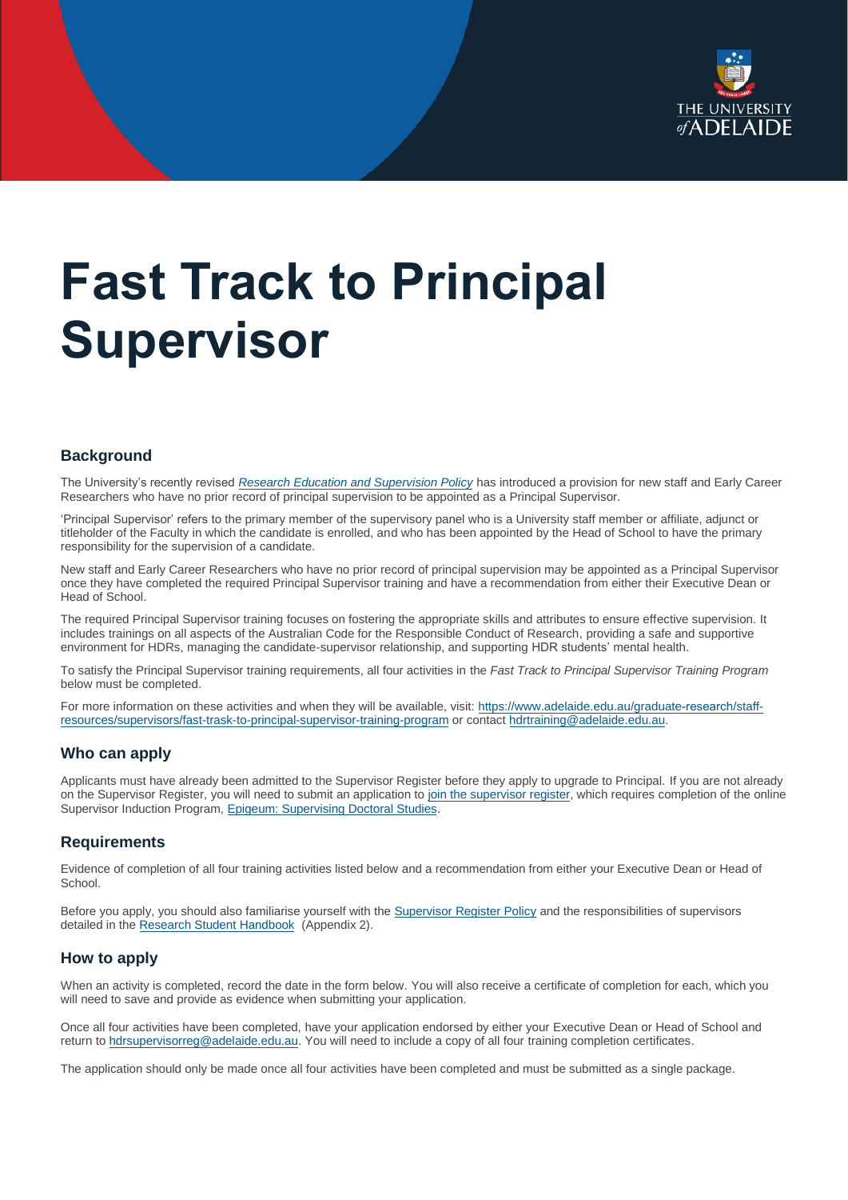

# **Fast Track to Principal Supervisor**

### **Background**

The University's recently revised *[Research Education and Supervision Policy](https://www.adelaide.edu.au/policies/2063/?dsn=;dsn=policy.entry;id=;id=2063;m=login;m=view)* has introduced a provision for new staff and Early Career Researchers who have no prior record of principal supervision to be appointed as a Principal Supervisor.

'Principal Supervisor' refers to the primary member of the supervisory panel who is a University staff member or affiliate, adjunct or titleholder of the Faculty in which the candidate is enrolled, and who has been appointed by the Head of School to have the primary responsibility for the supervision of a candidate.

New staff and Early Career Researchers who have no prior record of principal supervision may be appointed as a Principal Supervisor once they have completed the required Principal Supervisor training and have a recommendation from either their Executive Dean or Head of School.

The required Principal Supervisor training focuses on fostering the appropriate skills and attributes to ensure effective supervision. It includes trainings on all aspects of the Australian Code for the Responsible Conduct of Research, providing a safe and supportive environment for HDRs, managing the candidate-supervisor relationship, and supporting HDR students' mental health.

To satisfy the Principal Supervisor training requirements, all four activities in the *Fast Track to Principal Supervisor Training Program* below must be completed.

For more information on these activities and when they will be available, visit[: https://www.adelaide.edu.au/graduate](https://www.adelaide.edu.au/graduatecentre/staff-resources/supervisors/fast-trask-to-principal-supervisor-training-program)-research/staff[resources/supervisors/fast-trask-to-principal-supervisor-training-program](https://www.adelaide.edu.au/graduatecentre/staff-resources/supervisors/fast-trask-to-principal-supervisor-training-program) or contac[t hdrtraining@adelaide.edu.au.](mailto:hdrtraining@adelaide.edu.au)

#### **Who can apply**

Applicants must have already been admitted to the Supervisor Register before they apply to upgrade to Principal. If you are not already on the Supervisor Register, you will need to submit an application t[o join the supervisor register,](https://www.adelaide.edu.au/graduate-research/staff-resources/supervisors/join-the-supervisor-register) which requires completion of the online Supervisor Induction Program[, Epigeum: Supervising Doctoral Studies.](https://myuni.adelaide.edu.au/enroll/WLEP4B)

#### **Requirements**

Evidence of completion of all four training activities listed below and a recommendation from either your Executive Dean or Head of School.

Before you apply, you should also familiarise yourself with the [Supervisor Register Policy](https://www.adelaide.edu.au/policies/2063/) and the responsibilities of supervisors detailed in the [Research Student Handbook \(](https://www.adelaide.edu.au/graduate-research/handbook/)Appendix 2).

#### **How to apply**

When an activity is completed, record the date in the form below. You will also receive a certificate of completion for each, which you will need to save and provide as evidence when submitting your application.

Once all four activities have been completed, have your application endorsed by either your Executive Dean or Head of School and return to [hdrsupervisorreg@adelaide.edu.au.](mailto:hdrsupervisorreg@adelaide.edu.au) You will need to include a copy of all four training completion certificates.

The application should only be made once all four activities have been completed and must be submitted as a single package.